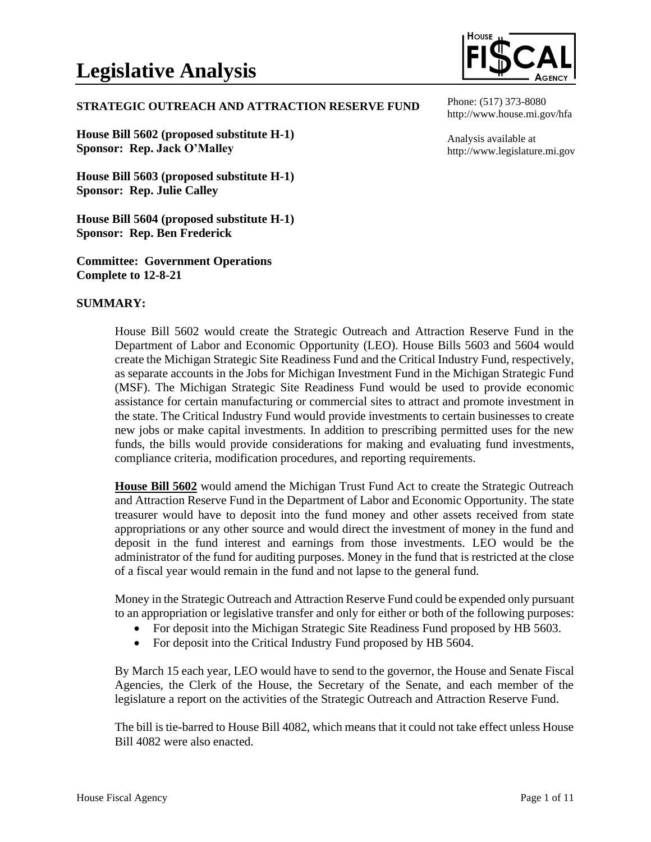

#### **STRATEGIC OUTREACH AND ATTRACTION RESERVE FUND**

**House Bill 5602 (proposed substitute H-1) Sponsor: Rep. Jack O'Malley**

**House Bill 5603 (proposed substitute H-1) Sponsor: Rep. Julie Calley**

**House Bill 5604 (proposed substitute H-1) Sponsor: Rep. Ben Frederick**

**Committee: Government Operations Complete to 12-8-21**

#### **SUMMARY:**

House Bill 5602 would create the Strategic Outreach and Attraction Reserve Fund in the Department of Labor and Economic Opportunity (LEO). House Bills 5603 and 5604 would create the Michigan Strategic Site Readiness Fund and the Critical Industry Fund, respectively, as separate accounts in the Jobs for Michigan Investment Fund in the Michigan Strategic Fund (MSF). The Michigan Strategic Site Readiness Fund would be used to provide economic assistance for certain manufacturing or commercial sites to attract and promote investment in the state. The Critical Industry Fund would provide investments to certain businesses to create new jobs or make capital investments. In addition to prescribing permitted uses for the new funds, the bills would provide considerations for making and evaluating fund investments, compliance criteria, modification procedures, and reporting requirements.

**House Bill 5602** would amend the Michigan Trust Fund Act to create the Strategic Outreach and Attraction Reserve Fund in the Department of Labor and Economic Opportunity. The state treasurer would have to deposit into the fund money and other assets received from state appropriations or any other source and would direct the investment of money in the fund and deposit in the fund interest and earnings from those investments. LEO would be the administrator of the fund for auditing purposes. Money in the fund that is restricted at the close of a fiscal year would remain in the fund and not lapse to the general fund.

Money in the Strategic Outreach and Attraction Reserve Fund could be expended only pursuant to an appropriation or legislative transfer and only for either or both of the following purposes:

- For deposit into the Michigan Strategic Site Readiness Fund proposed by HB 5603.
- For deposit into the Critical Industry Fund proposed by HB 5604.

By March 15 each year, LEO would have to send to the governor, the House and Senate Fiscal Agencies, the Clerk of the House, the Secretary of the Senate, and each member of the legislature a report on the activities of the Strategic Outreach and Attraction Reserve Fund.

The bill is tie-barred to House Bill 4082, which means that it could not take effect unless House Bill 4082 were also enacted.

Phone: (517) 373-8080 http://www.house.mi.gov/hfa

Analysis available at http://www.legislature.mi.gov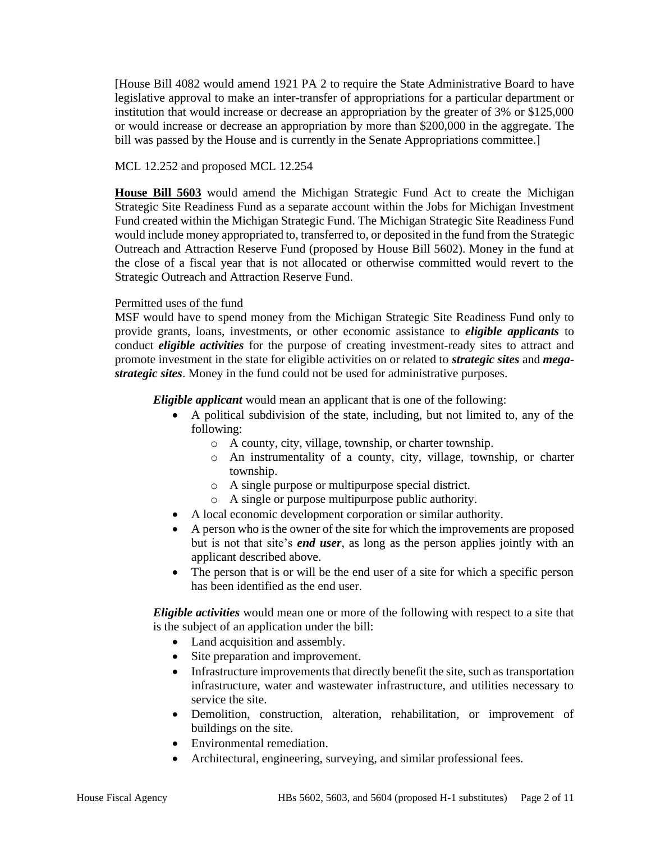[House Bill 4082 would amend 1921 PA 2 to require the State Administrative Board to have legislative approval to make an inter-transfer of appropriations for a particular department or institution that would increase or decrease an appropriation by the greater of 3% or \$125,000 or would increase or decrease an appropriation by more than \$200,000 in the aggregate. The bill was passed by the House and is currently in the Senate Appropriations committee.

### MCL 12.252 and proposed MCL 12.254

**House Bill 5603** would amend the Michigan Strategic Fund Act to create the Michigan Strategic Site Readiness Fund as a separate account within the Jobs for Michigan Investment Fund created within the Michigan Strategic Fund. The Michigan Strategic Site Readiness Fund would include money appropriated to, transferred to, or deposited in the fund from the Strategic Outreach and Attraction Reserve Fund (proposed by House Bill 5602). Money in the fund at the close of a fiscal year that is not allocated or otherwise committed would revert to the Strategic Outreach and Attraction Reserve Fund.

### Permitted uses of the fund

MSF would have to spend money from the Michigan Strategic Site Readiness Fund only to provide grants, loans, investments, or other economic assistance to *eligible applicants* to conduct *eligible activities* for the purpose of creating investment-ready sites to attract and promote investment in the state for eligible activities on or related to *strategic sites* and *megastrategic sites*. Money in the fund could not be used for administrative purposes.

*Eligible applicant* would mean an applicant that is one of the following:

- A political subdivision of the state, including, but not limited to, any of the following:
	- o A county, city, village, township, or charter township.
	- o An instrumentality of a county, city, village, township, or charter township.
	- o A single purpose or multipurpose special district.
	- o A single or purpose multipurpose public authority.
- A local economic development corporation or similar authority.
- A person who is the owner of the site for which the improvements are proposed but is not that site's *end user*, as long as the person applies jointly with an applicant described above.
- The person that is or will be the end user of a site for which a specific person has been identified as the end user.

*Eligible activities* would mean one or more of the following with respect to a site that is the subject of an application under the bill:

- Land acquisition and assembly.
- Site preparation and improvement.
- Infrastructure improvements that directly benefit the site, such as transportation infrastructure, water and wastewater infrastructure, and utilities necessary to service the site.
- Demolition, construction, alteration, rehabilitation, or improvement of buildings on the site.
- Environmental remediation.
- Architectural, engineering, surveying, and similar professional fees.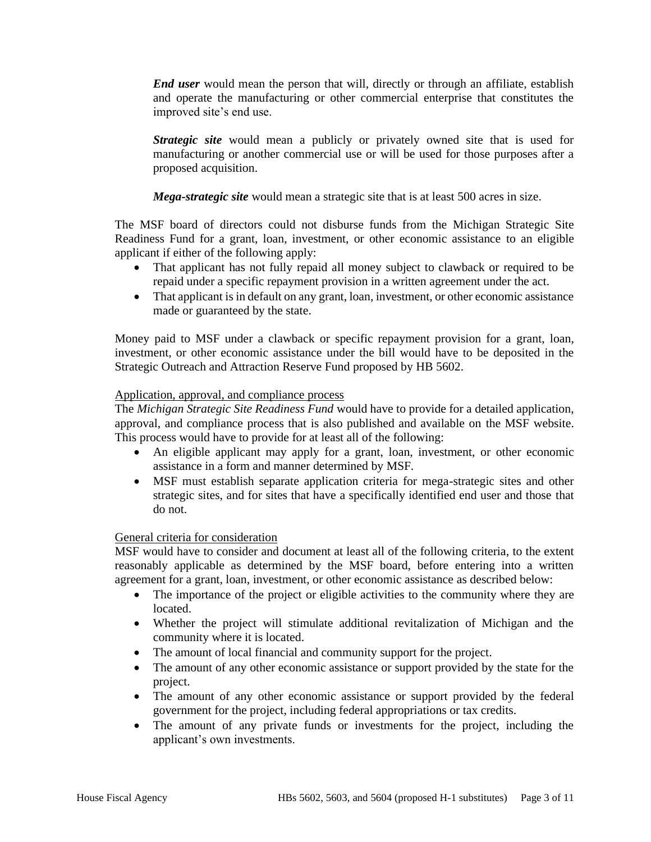*End user* would mean the person that will, directly or through an affiliate, establish and operate the manufacturing or other commercial enterprise that constitutes the improved site's end use.

*Strategic site* would mean a publicly or privately owned site that is used for manufacturing or another commercial use or will be used for those purposes after a proposed acquisition.

*Mega-strategic site* would mean a strategic site that is at least 500 acres in size.

The MSF board of directors could not disburse funds from the Michigan Strategic Site Readiness Fund for a grant, loan, investment, or other economic assistance to an eligible applicant if either of the following apply:

- That applicant has not fully repaid all money subject to clawback or required to be repaid under a specific repayment provision in a written agreement under the act.
- That applicant is in default on any grant, loan, investment, or other economic assistance made or guaranteed by the state.

Money paid to MSF under a clawback or specific repayment provision for a grant, loan, investment, or other economic assistance under the bill would have to be deposited in the Strategic Outreach and Attraction Reserve Fund proposed by HB 5602.

### Application, approval, and compliance process

The *Michigan Strategic Site Readiness Fund* would have to provide for a detailed application, approval, and compliance process that is also published and available on the MSF website. This process would have to provide for at least all of the following:

- An eligible applicant may apply for a grant, loan, investment, or other economic assistance in a form and manner determined by MSF.
- MSF must establish separate application criteria for mega-strategic sites and other strategic sites, and for sites that have a specifically identified end user and those that do not.

# General criteria for consideration

MSF would have to consider and document at least all of the following criteria, to the extent reasonably applicable as determined by the MSF board, before entering into a written agreement for a grant, loan, investment, or other economic assistance as described below:

- The importance of the project or eligible activities to the community where they are located.
- Whether the project will stimulate additional revitalization of Michigan and the community where it is located.
- The amount of local financial and community support for the project.
- The amount of any other economic assistance or support provided by the state for the project.
- The amount of any other economic assistance or support provided by the federal government for the project, including federal appropriations or tax credits.
- The amount of any private funds or investments for the project, including the applicant's own investments.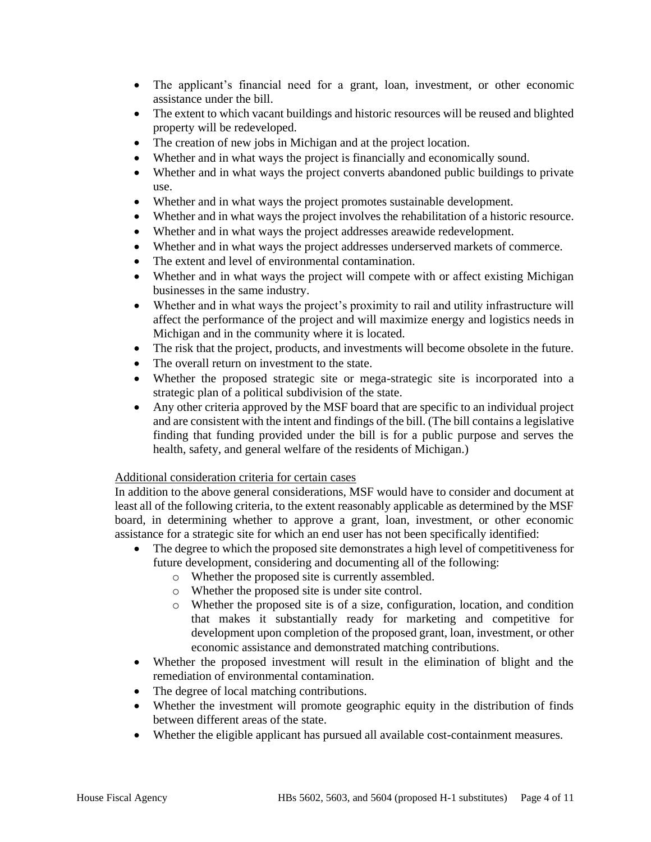- The applicant's financial need for a grant, loan, investment, or other economic assistance under the bill.
- The extent to which vacant buildings and historic resources will be reused and blighted property will be redeveloped.
- The creation of new jobs in Michigan and at the project location.
- Whether and in what ways the project is financially and economically sound.
- Whether and in what ways the project converts abandoned public buildings to private use.
- Whether and in what ways the project promotes sustainable development.
- Whether and in what ways the project involves the rehabilitation of a historic resource.
- Whether and in what ways the project addresses areawide redevelopment.
- Whether and in what ways the project addresses underserved markets of commerce.
- The extent and level of environmental contamination.
- Whether and in what ways the project will compete with or affect existing Michigan businesses in the same industry.
- Whether and in what ways the project's proximity to rail and utility infrastructure will affect the performance of the project and will maximize energy and logistics needs in Michigan and in the community where it is located.
- The risk that the project, products, and investments will become obsolete in the future.
- The overall return on investment to the state.
- Whether the proposed strategic site or mega-strategic site is incorporated into a strategic plan of a political subdivision of the state.
- Any other criteria approved by the MSF board that are specific to an individual project and are consistent with the intent and findings of the bill. (The bill contains a legislative finding that funding provided under the bill is for a public purpose and serves the health, safety, and general welfare of the residents of Michigan.)

# Additional consideration criteria for certain cases

In addition to the above general considerations, MSF would have to consider and document at least all of the following criteria, to the extent reasonably applicable as determined by the MSF board, in determining whether to approve a grant, loan, investment, or other economic assistance for a strategic site for which an end user has not been specifically identified:

- The degree to which the proposed site demonstrates a high level of competitiveness for future development, considering and documenting all of the following:
	- o Whether the proposed site is currently assembled.
	- o Whether the proposed site is under site control.
	- o Whether the proposed site is of a size, configuration, location, and condition that makes it substantially ready for marketing and competitive for development upon completion of the proposed grant, loan, investment, or other economic assistance and demonstrated matching contributions.
- Whether the proposed investment will result in the elimination of blight and the remediation of environmental contamination.
- The degree of local matching contributions.
- Whether the investment will promote geographic equity in the distribution of finds between different areas of the state.
- Whether the eligible applicant has pursued all available cost-containment measures.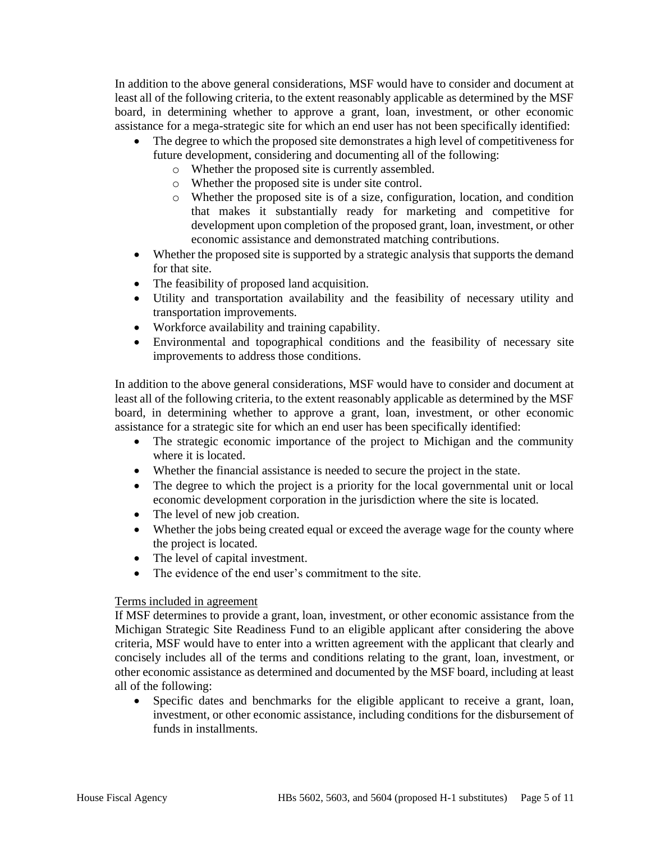In addition to the above general considerations, MSF would have to consider and document at least all of the following criteria, to the extent reasonably applicable as determined by the MSF board, in determining whether to approve a grant, loan, investment, or other economic assistance for a mega-strategic site for which an end user has not been specifically identified:

- The degree to which the proposed site demonstrates a high level of competitiveness for future development, considering and documenting all of the following:
	- o Whether the proposed site is currently assembled.
	- o Whether the proposed site is under site control.
	- o Whether the proposed site is of a size, configuration, location, and condition that makes it substantially ready for marketing and competitive for development upon completion of the proposed grant, loan, investment, or other economic assistance and demonstrated matching contributions.
- Whether the proposed site is supported by a strategic analysis that supports the demand for that site.
- The feasibility of proposed land acquisition.
- Utility and transportation availability and the feasibility of necessary utility and transportation improvements.
- Workforce availability and training capability.
- Environmental and topographical conditions and the feasibility of necessary site improvements to address those conditions.

In addition to the above general considerations, MSF would have to consider and document at least all of the following criteria, to the extent reasonably applicable as determined by the MSF board, in determining whether to approve a grant, loan, investment, or other economic assistance for a strategic site for which an end user has been specifically identified:

- The strategic economic importance of the project to Michigan and the community where it is located.
- Whether the financial assistance is needed to secure the project in the state.
- The degree to which the project is a priority for the local governmental unit or local economic development corporation in the jurisdiction where the site is located.
- The level of new job creation.
- Whether the jobs being created equal or exceed the average wage for the county where the project is located.
- The level of capital investment.
- The evidence of the end user's commitment to the site.

# Terms included in agreement

If MSF determines to provide a grant, loan, investment, or other economic assistance from the Michigan Strategic Site Readiness Fund to an eligible applicant after considering the above criteria, MSF would have to enter into a written agreement with the applicant that clearly and concisely includes all of the terms and conditions relating to the grant, loan, investment, or other economic assistance as determined and documented by the MSF board, including at least all of the following:

• Specific dates and benchmarks for the eligible applicant to receive a grant, loan, investment, or other economic assistance, including conditions for the disbursement of funds in installments.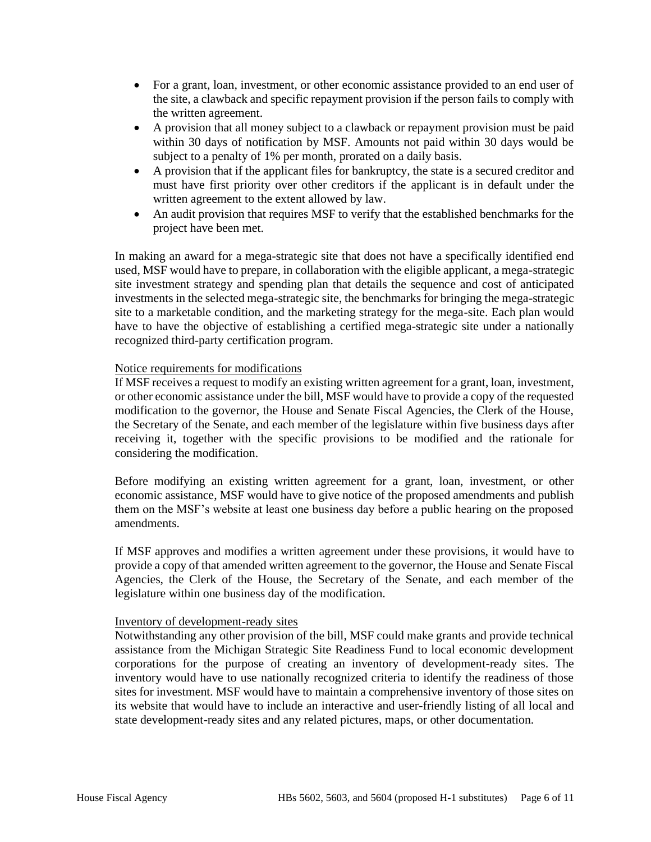- For a grant, loan, investment, or other economic assistance provided to an end user of the site, a clawback and specific repayment provision if the person fails to comply with the written agreement.
- A provision that all money subject to a clawback or repayment provision must be paid within 30 days of notification by MSF. Amounts not paid within 30 days would be subject to a penalty of 1% per month, prorated on a daily basis.
- A provision that if the applicant files for bankruptcy, the state is a secured creditor and must have first priority over other creditors if the applicant is in default under the written agreement to the extent allowed by law.
- An audit provision that requires MSF to verify that the established benchmarks for the project have been met.

In making an award for a mega-strategic site that does not have a specifically identified end used, MSF would have to prepare, in collaboration with the eligible applicant, a mega-strategic site investment strategy and spending plan that details the sequence and cost of anticipated investments in the selected mega-strategic site, the benchmarks for bringing the mega-strategic site to a marketable condition, and the marketing strategy for the mega-site. Each plan would have to have the objective of establishing a certified mega-strategic site under a nationally recognized third-party certification program.

### Notice requirements for modifications

If MSF receives a request to modify an existing written agreement for a grant, loan, investment, or other economic assistance under the bill, MSF would have to provide a copy of the requested modification to the governor, the House and Senate Fiscal Agencies, the Clerk of the House, the Secretary of the Senate, and each member of the legislature within five business days after receiving it, together with the specific provisions to be modified and the rationale for considering the modification.

Before modifying an existing written agreement for a grant, loan, investment, or other economic assistance, MSF would have to give notice of the proposed amendments and publish them on the MSF's website at least one business day before a public hearing on the proposed amendments.

If MSF approves and modifies a written agreement under these provisions, it would have to provide a copy of that amended written agreement to the governor, the House and Senate Fiscal Agencies, the Clerk of the House, the Secretary of the Senate, and each member of the legislature within one business day of the modification.

### Inventory of development-ready sites

Notwithstanding any other provision of the bill, MSF could make grants and provide technical assistance from the Michigan Strategic Site Readiness Fund to local economic development corporations for the purpose of creating an inventory of development-ready sites. The inventory would have to use nationally recognized criteria to identify the readiness of those sites for investment. MSF would have to maintain a comprehensive inventory of those sites on its website that would have to include an interactive and user-friendly listing of all local and state development-ready sites and any related pictures, maps, or other documentation.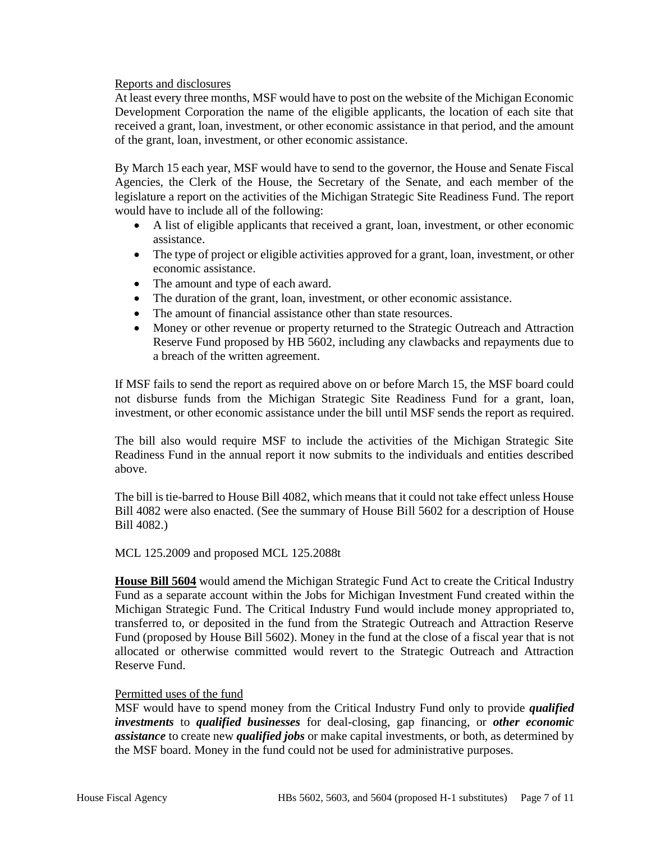### Reports and disclosures

At least every three months, MSF would have to post on the website of the Michigan Economic Development Corporation the name of the eligible applicants, the location of each site that received a grant, loan, investment, or other economic assistance in that period, and the amount of the grant, loan, investment, or other economic assistance.

By March 15 each year, MSF would have to send to the governor, the House and Senate Fiscal Agencies, the Clerk of the House, the Secretary of the Senate, and each member of the legislature a report on the activities of the Michigan Strategic Site Readiness Fund. The report would have to include all of the following:

- A list of eligible applicants that received a grant, loan, investment, or other economic assistance.
- The type of project or eligible activities approved for a grant, loan, investment, or other economic assistance.
- The amount and type of each award.
- The duration of the grant, loan, investment, or other economic assistance.
- The amount of financial assistance other than state resources.
- Money or other revenue or property returned to the Strategic Outreach and Attraction Reserve Fund proposed by HB 5602, including any clawbacks and repayments due to a breach of the written agreement.

If MSF fails to send the report as required above on or before March 15, the MSF board could not disburse funds from the Michigan Strategic Site Readiness Fund for a grant, loan, investment, or other economic assistance under the bill until MSF sends the report as required.

The bill also would require MSF to include the activities of the Michigan Strategic Site Readiness Fund in the annual report it now submits to the individuals and entities described above.

The bill is tie-barred to House Bill 4082, which means that it could not take effect unless House Bill 4082 were also enacted. (See the summary of House Bill 5602 for a description of House Bill 4082.)

### MCL 125.2009 and proposed MCL 125.2088t

**House Bill 5604** would amend the Michigan Strategic Fund Act to create the Critical Industry Fund as a separate account within the Jobs for Michigan Investment Fund created within the Michigan Strategic Fund. The Critical Industry Fund would include money appropriated to, transferred to, or deposited in the fund from the Strategic Outreach and Attraction Reserve Fund (proposed by House Bill 5602). Money in the fund at the close of a fiscal year that is not allocated or otherwise committed would revert to the Strategic Outreach and Attraction Reserve Fund.

#### Permitted uses of the fund

MSF would have to spend money from the Critical Industry Fund only to provide *qualified investments* to *qualified businesses* for deal-closing, gap financing, or *other economic assistance* to create new *qualified jobs* or make capital investments, or both, as determined by the MSF board. Money in the fund could not be used for administrative purposes.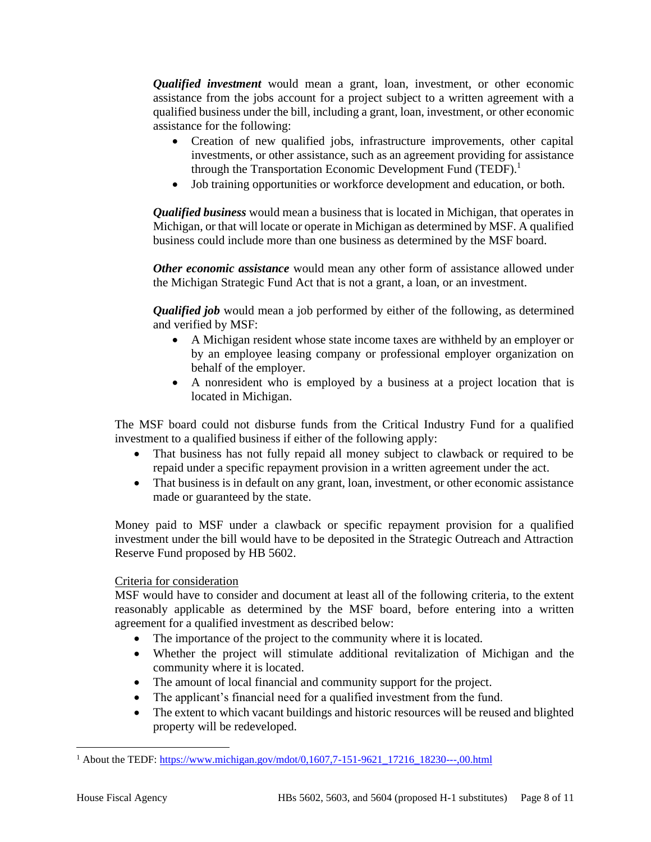*Qualified investment* would mean a grant, loan, investment, or other economic assistance from the jobs account for a project subject to a written agreement with a qualified business under the bill, including a grant, loan, investment, or other economic assistance for the following:

- Creation of new qualified jobs, infrastructure improvements, other capital investments, or other assistance, such as an agreement providing for assistance through the Transportation Economic Development Fund (TEDF).<sup>1</sup>
- Job training opportunities or workforce development and education, or both.

*Qualified business* would mean a business that is located in Michigan, that operates in Michigan, or that will locate or operate in Michigan as determined by MSF. A qualified business could include more than one business as determined by the MSF board.

*Other economic assistance* would mean any other form of assistance allowed under the Michigan Strategic Fund Act that is not a grant, a loan, or an investment.

*Qualified job* would mean a job performed by either of the following, as determined and verified by MSF:

- A Michigan resident whose state income taxes are withheld by an employer or by an employee leasing company or professional employer organization on behalf of the employer.
- A nonresident who is employed by a business at a project location that is located in Michigan.

The MSF board could not disburse funds from the Critical Industry Fund for a qualified investment to a qualified business if either of the following apply:

- That business has not fully repaid all money subject to clawback or required to be repaid under a specific repayment provision in a written agreement under the act.
- That business is in default on any grant, loan, investment, or other economic assistance made or guaranteed by the state.

Money paid to MSF under a clawback or specific repayment provision for a qualified investment under the bill would have to be deposited in the Strategic Outreach and Attraction Reserve Fund proposed by HB 5602.

# Criteria for consideration

MSF would have to consider and document at least all of the following criteria, to the extent reasonably applicable as determined by the MSF board, before entering into a written agreement for a qualified investment as described below:

- The importance of the project to the community where it is located.
- Whether the project will stimulate additional revitalization of Michigan and the community where it is located.
- The amount of local financial and community support for the project.
- The applicant's financial need for a qualified investment from the fund.
- The extent to which vacant buildings and historic resources will be reused and blighted property will be redeveloped.

<sup>&</sup>lt;sup>1</sup> About the TEDF: https://www.michigan.gov/mdot/0,1607,7-151-9621 17216 18230---,00.html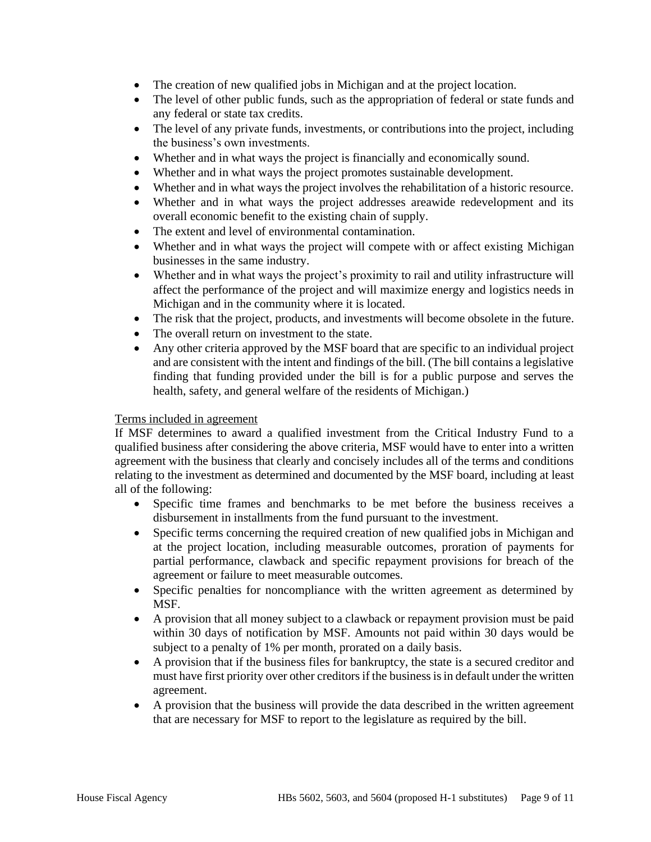- The creation of new qualified jobs in Michigan and at the project location.
- The level of other public funds, such as the appropriation of federal or state funds and any federal or state tax credits.
- The level of any private funds, investments, or contributions into the project, including the business's own investments.
- Whether and in what ways the project is financially and economically sound.
- Whether and in what ways the project promotes sustainable development.
- Whether and in what ways the project involves the rehabilitation of a historic resource.
- Whether and in what ways the project addresses areawide redevelopment and its overall economic benefit to the existing chain of supply.
- The extent and level of environmental contamination.
- Whether and in what ways the project will compete with or affect existing Michigan businesses in the same industry.
- Whether and in what ways the project's proximity to rail and utility infrastructure will affect the performance of the project and will maximize energy and logistics needs in Michigan and in the community where it is located.
- The risk that the project, products, and investments will become obsolete in the future.
- The overall return on investment to the state.
- Any other criteria approved by the MSF board that are specific to an individual project and are consistent with the intent and findings of the bill. (The bill contains a legislative finding that funding provided under the bill is for a public purpose and serves the health, safety, and general welfare of the residents of Michigan.)

### Terms included in agreement

If MSF determines to award a qualified investment from the Critical Industry Fund to a qualified business after considering the above criteria, MSF would have to enter into a written agreement with the business that clearly and concisely includes all of the terms and conditions relating to the investment as determined and documented by the MSF board, including at least all of the following:

- Specific time frames and benchmarks to be met before the business receives a disbursement in installments from the fund pursuant to the investment.
- Specific terms concerning the required creation of new qualified jobs in Michigan and at the project location, including measurable outcomes, proration of payments for partial performance, clawback and specific repayment provisions for breach of the agreement or failure to meet measurable outcomes.
- Specific penalties for noncompliance with the written agreement as determined by MSF.
- A provision that all money subject to a clawback or repayment provision must be paid within 30 days of notification by MSF. Amounts not paid within 30 days would be subject to a penalty of 1% per month, prorated on a daily basis.
- A provision that if the business files for bankruptcy, the state is a secured creditor and must have first priority over other creditors if the business is in default under the written agreement.
- A provision that the business will provide the data described in the written agreement that are necessary for MSF to report to the legislature as required by the bill.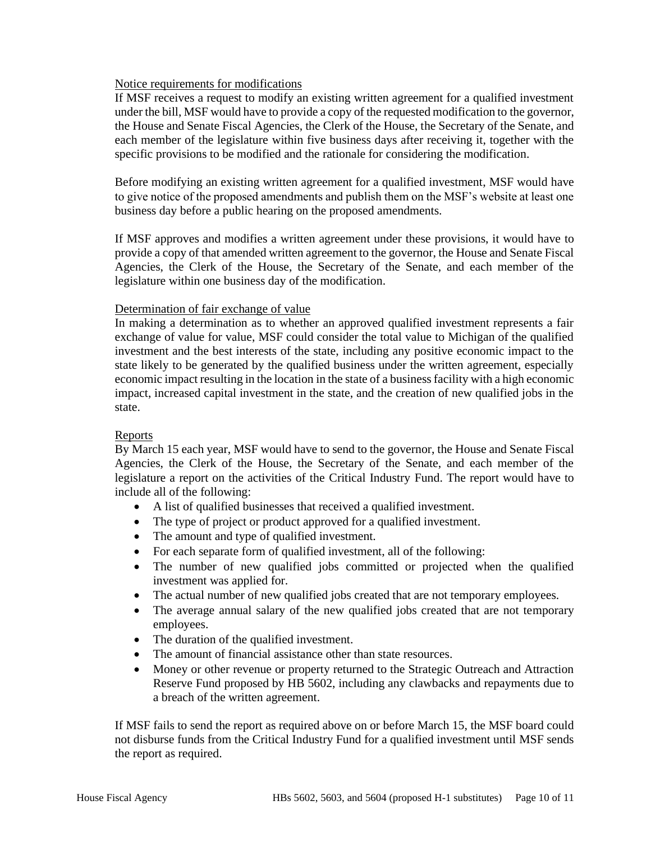### Notice requirements for modifications

If MSF receives a request to modify an existing written agreement for a qualified investment under the bill, MSF would have to provide a copy of the requested modification to the governor, the House and Senate Fiscal Agencies, the Clerk of the House, the Secretary of the Senate, and each member of the legislature within five business days after receiving it, together with the specific provisions to be modified and the rationale for considering the modification.

Before modifying an existing written agreement for a qualified investment, MSF would have to give notice of the proposed amendments and publish them on the MSF's website at least one business day before a public hearing on the proposed amendments.

If MSF approves and modifies a written agreement under these provisions, it would have to provide a copy of that amended written agreement to the governor, the House and Senate Fiscal Agencies, the Clerk of the House, the Secretary of the Senate, and each member of the legislature within one business day of the modification.

### Determination of fair exchange of value

In making a determination as to whether an approved qualified investment represents a fair exchange of value for value, MSF could consider the total value to Michigan of the qualified investment and the best interests of the state, including any positive economic impact to the state likely to be generated by the qualified business under the written agreement, especially economic impact resulting in the location in the state of a business facility with a high economic impact, increased capital investment in the state, and the creation of new qualified jobs in the state.

# Reports

By March 15 each year, MSF would have to send to the governor, the House and Senate Fiscal Agencies, the Clerk of the House, the Secretary of the Senate, and each member of the legislature a report on the activities of the Critical Industry Fund. The report would have to include all of the following:

- A list of qualified businesses that received a qualified investment.
- The type of project or product approved for a qualified investment.
- The amount and type of qualified investment.
- For each separate form of qualified investment, all of the following:
- The number of new qualified jobs committed or projected when the qualified investment was applied for.
- The actual number of new qualified jobs created that are not temporary employees.
- The average annual salary of the new qualified jobs created that are not temporary employees.
- The duration of the qualified investment.
- The amount of financial assistance other than state resources.
- Money or other revenue or property returned to the Strategic Outreach and Attraction Reserve Fund proposed by HB 5602, including any clawbacks and repayments due to a breach of the written agreement.

If MSF fails to send the report as required above on or before March 15, the MSF board could not disburse funds from the Critical Industry Fund for a qualified investment until MSF sends the report as required.